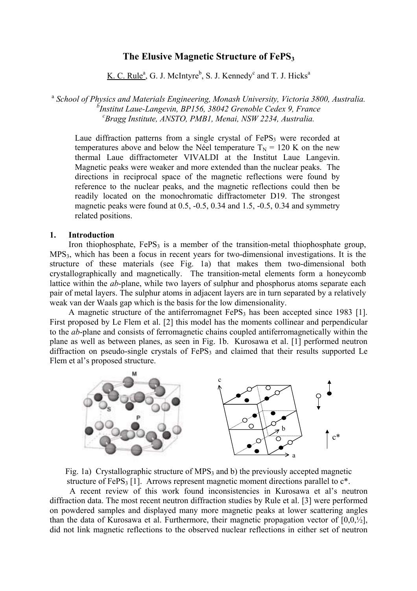# **The Elusive Magnetic Structure of FePS3**

K. C. Rule<sup>a</sup>, G. J. McIntyre<sup>b</sup>, S. J. Kennedy<sup>c</sup> and T. J. Hicks<sup>a</sup>

<sup>a</sup> *School of Physics and Materials Engineering, Monash University, Victoria 3800, Australia. b Institut Laue-Langevin, BP156, 38042 Grenoble Cedex 9, France c Bragg Institute, ANSTO, PMB1, Menai, NSW 2234, Australia.* 

Laue diffraction patterns from a single crystal of  $FePS<sub>3</sub>$  were recorded at temperatures above and below the Néel temperature  $T_N = 120$  K on the new thermal Laue diffractometer VIVALDI at the Institut Laue Langevin. Magnetic peaks were weaker and more extended than the nuclear peaks. The directions in reciprocal space of the magnetic reflections were found by reference to the nuclear peaks, and the magnetic reflections could then be readily located on the monochromatic diffractometer D19. The strongest magnetic peaks were found at 0.5, -0.5, 0.34 and 1.5, -0.5, 0.34 and symmetry related positions.

### **1. Introduction**

Iron thiophosphate,  $FePS<sub>3</sub>$  is a member of the transition-metal thiophosphate group, MPS3, which has been a focus in recent years for two-dimensional investigations. It is the structure of these materials (see Fig. 1a) that makes them two-dimensional both crystallographically and magnetically. The transition-metal elements form a honeycomb lattice within the *ab*-plane, while two layers of sulphur and phosphorus atoms separate each pair of metal layers. The sulphur atoms in adjacent layers are in turn separated by a relatively weak van der Waals gap which is the basis for the low dimensionality.

A magnetic structure of the antiferromagnet  $FePS<sub>3</sub>$  has been accepted since 1983 [1]. First proposed by Le Flem et al. [2] this model has the moments collinear and perpendicular to the *ab*-plane and consists of ferromagnetic chains coupled antiferromagnetically within the plane as well as between planes, as seen in [Fig. 1b](#page-0-0). Kurosawa et al. [1] performed neutron diffraction on pseudo-single crystals of  $FePS<sub>3</sub>$  and claimed that their results supported Le Flem et al's proposed structure.

<span id="page-0-0"></span>



A recent review of this work found inconsistencies in Kurosawa et al's neutron diffraction data. The most recent neutron diffraction studies by Rule et al. [3] were performed on powdered samples and displayed many more magnetic peaks at lower scattering angles than the data of Kurosawa et al. Furthermore, their magnetic propagation vector of  $[0.0, \frac{1}{2}]$ , did not link magnetic reflections to the observed nuclear reflections in either set of neutron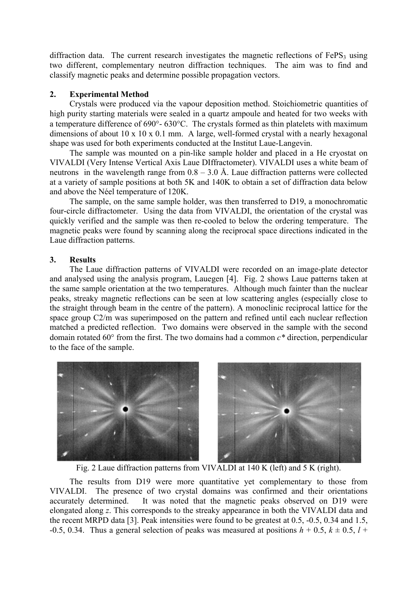diffraction data. The current research investigates the magnetic reflections of  $FePS<sub>3</sub>$  using two different, complementary neutron diffraction techniques. The aim was to find and classify magnetic peaks and determine possible propagation vectors.

### **2. Experimental Method**

Crystals were produced via the vapour deposition method. Stoichiometric quantities of high purity starting materials were sealed in a quartz ampoule and heated for two weeks with a temperature difference of 690°- 630°C. The crystals formed as thin platelets with maximum dimensions of about 10 x 10 x 0.1 mm. A large, well-formed crystal with a nearly hexagonal shape was used for both experiments conducted at the Institut Laue-Langevin.

The sample was mounted on a pin-like sample holder and placed in a He cryostat on VIVALDI (Very Intense Vertical Axis Laue DIffractometer). VIVALDI uses a white beam of neutrons in the wavelength range from  $0.8 - 3.0$  Å. Laue diffraction patterns were collected at a variety of sample positions at both 5K and 140K to obtain a set of diffraction data below and above the Néel temperature of 120K.

The sample, on the same sample holder, was then transferred to D19, a monochromatic four-circle diffractometer. Using the data from VIVALDI, the orientation of the crystal was quickly verified and the sample was then re-cooled to below the ordering temperature. The magnetic peaks were found by scanning along the reciprocal space directions indicated in the Laue diffraction patterns.

### **3. Results**

The Laue diffraction patterns of VIVALDI were recorded on an image-plate detector and analysed using the analysis program, Lauegen [4]. Fig. 2 shows Laue patterns taken at the same sample orientation at the two temperatures. Although much fainter than the nuclear peaks, streaky magnetic reflections can be seen at low scattering angles (especially close to the straight through beam in the centre of the pattern). A monoclinic reciprocal lattice for the space group C2/m was superimposed on the pattern and refined until each nuclear reflection matched a predicted reflection. Two domains were observed in the sample with the second domain rotated 60° from the first. The two domains had a common *c\** direction, perpendicular to the face of the sample.



Fig. 2 Laue diffraction patterns from VIVALDI at 140 K (left) and 5 K (right).

The results from D19 were more quantitative yet complementary to those from VIVALDI. The presence of two crystal domains was confirmed and their orientations accurately determined. It was noted that the magnetic peaks observed on D19 were elongated along *z*. This corresponds to the streaky appearance in both the VIVALDI data and the recent MRPD data [3]. Peak intensities were found to be greatest at 0.5, -0.5, 0.34 and 1.5, -0.5, 0.34. Thus a general selection of peaks was measured at positions  $h + 0.5$ ,  $k \pm 0.5$ ,  $l +$